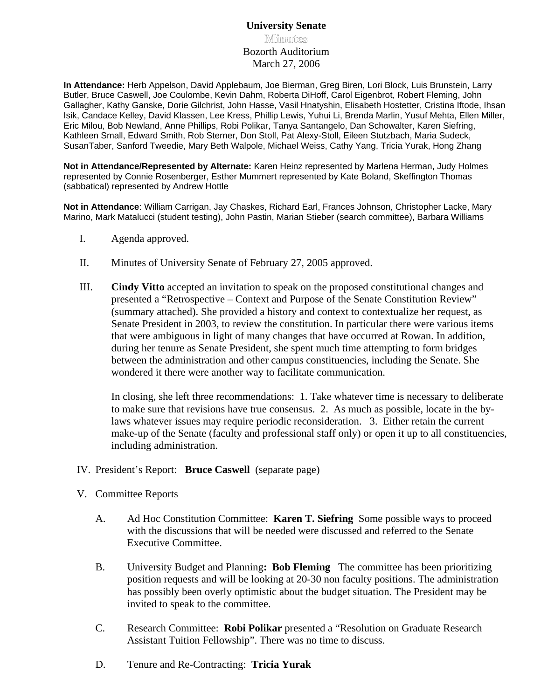## **University Senate Minmuntes** Bozorth Auditorium March 27, 2006

**In Attendance:** Herb Appelson, David Applebaum, Joe Bierman, Greg Biren, Lori Block, Luis Brunstein, Larry Butler, Bruce Caswell, Joe Coulombe, Kevin Dahm, Roberta DiHoff, Carol Eigenbrot, Robert Fleming, John Gallagher, Kathy Ganske, Dorie Gilchrist, John Hasse, Vasil Hnatyshin, Elisabeth Hostetter, Cristina Iftode, Ihsan Isik, Candace Kelley, David Klassen, Lee Kress, Phillip Lewis, Yuhui Li, Brenda Marlin, Yusuf Mehta, Ellen Miller, Eric Milou, Bob Newland, Anne Phillips, Robi Polikar, Tanya Santangelo, Dan Schowalter, Karen Siefring, Kathleen Small, Edward Smith, Rob Sterner, Don Stoll, Pat Alexy-Stoll, Eileen Stutzbach, Maria Sudeck, SusanTaber, Sanford Tweedie, Mary Beth Walpole, Michael Weiss, Cathy Yang, Tricia Yurak, Hong Zhang

**Not in Attendance/Represented by Alternate:** Karen Heinz represented by Marlena Herman, Judy Holmes represented by Connie Rosenberger, Esther Mummert represented by Kate Boland, Skeffington Thomas (sabbatical) represented by Andrew Hottle

**Not in Attendance**: William Carrigan, Jay Chaskes, Richard Earl, Frances Johnson, Christopher Lacke, Mary Marino, Mark Matalucci (student testing), John Pastin, Marian Stieber (search committee), Barbara Williams

- I. Agenda approved.
- II. Minutes of University Senate of February 27, 2005 approved.
- III. **Cindy Vitto** accepted an invitation to speak on the proposed constitutional changes and presented a "Retrospective – Context and Purpose of the Senate Constitution Review" (summary attached). She provided a history and context to contextualize her request, as Senate President in 2003, to review the constitution. In particular there were various items that were ambiguous in light of many changes that have occurred at Rowan. In addition, during her tenure as Senate President, she spent much time attempting to form bridges between the administration and other campus constituencies, including the Senate. She wondered it there were another way to facilitate communication.

In closing, she left three recommendations: 1. Take whatever time is necessary to deliberate to make sure that revisions have true consensus. 2. As much as possible, locate in the by laws whatever issues may require periodic reconsideration. 3. Either retain the current make-up of the Senate (faculty and professional staff only) or open it up to all constituencies, including administration.

- IV. President's Report: **Bruce Caswell** (separate page)
- V. Committee Reports
	- A. Ad Hoc Constitution Committee: **Karen T. Siefring** Some possible ways to proceed with the discussions that will be needed were discussed and referred to the Senate Executive Committee.
	- B. University Budget and Planning**: Bob Fleming** The committee has been prioritizing position requests and will be looking at 20-30 non faculty positions. The administration has possibly been overly optimistic about the budget situation. The President may be invited to speak to the committee.
	- C. Research Committee: **Robi Polikar** presented a "Resolution on Graduate Research Assistant Tuition Fellowship". There was no time to discuss.
	- D. Tenure and Re-Contracting: **Tricia Yurak**